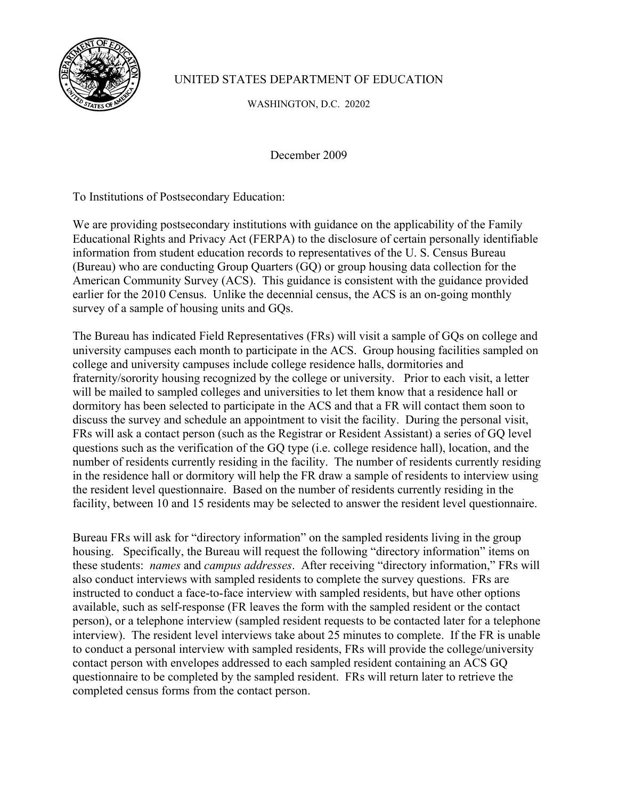

## UNITED STATES DEPARTMENT OF EDUCATION

WASHINGTON, D.C. 20202

December 2009

To Institutions of Postsecondary Education:

We are providing postsecondary institutions with guidance on the applicability of the Family Educational Rights and Privacy Act (FERPA) to the disclosure of certain personally identifiable information from student education records to representatives of the U. S. Census Bureau (Bureau) who are conducting Group Quarters (GQ) or group housing data collection for the American Community Survey (ACS). This guidance is consistent with the guidance provided earlier for the 2010 Census. Unlike the decennial census, the ACS is an on-going monthly survey of a sample of housing units and GQs.

The Bureau has indicated Field Representatives (FRs) will visit a sample of GQs on college and university campuses each month to participate in the ACS. Group housing facilities sampled on college and university campuses include college residence halls, dormitories and fraternity/sorority housing recognized by the college or university. Prior to each visit, a letter will be mailed to sampled colleges and universities to let them know that a residence hall or dormitory has been selected to participate in the ACS and that a FR will contact them soon to discuss the survey and schedule an appointment to visit the facility. During the personal visit, FRs will ask a contact person (such as the Registrar or Resident Assistant) a series of GQ level questions such as the verification of the GQ type (i.e. college residence hall), location, and the number of residents currently residing in the facility. The number of residents currently residing in the residence hall or dormitory will help the FR draw a sample of residents to interview using the resident level questionnaire. Based on the number of residents currently residing in the facility, between 10 and 15 residents may be selected to answer the resident level questionnaire.

Bureau FRs will ask for "directory information" on the sampled residents living in the group housing. Specifically, the Bureau will request the following "directory information" items on these students: *names* and *campus addresses*. After receiving "directory information," FRs will also conduct interviews with sampled residents to complete the survey questions. FRs are instructed to conduct a face-to-face interview with sampled residents, but have other options available, such as self-response (FR leaves the form with the sampled resident or the contact person), or a telephone interview (sampled resident requests to be contacted later for a telephone interview). The resident level interviews take about 25 minutes to complete. If the FR is unable to conduct a personal interview with sampled residents, FRs will provide the college/university contact person with envelopes addressed to each sampled resident containing an ACS GQ questionnaire to be completed by the sampled resident. FRs will return later to retrieve the completed census forms from the contact person.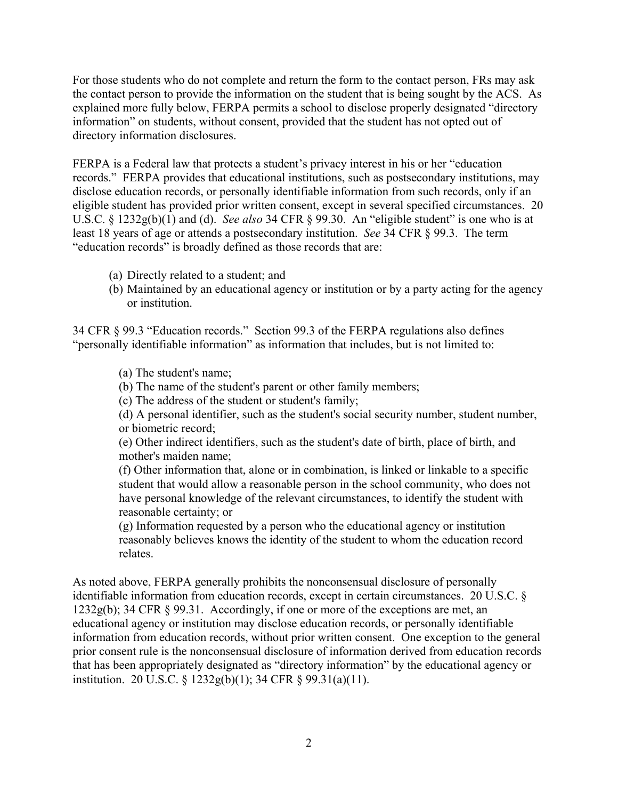For those students who do not complete and return the form to the contact person, FRs may ask the contact person to provide the information on the student that is being sought by the ACS. As explained more fully below, FERPA permits a school to disclose properly designated "directory information" on students, without consent, provided that the student has not opted out of directory information disclosures.

FERPA is a Federal law that protects a student's privacy interest in his or her "education records." FERPA provides that educational institutions, such as postsecondary institutions, may disclose education records, or personally identifiable information from such records, only if an eligible student has provided prior written consent, except in several specified circumstances. 20 U.S.C. § 1232g(b)(1) and (d). *See also* 34 CFR § 99.30. An "eligible student" is one who is at least 18 years of age or attends a postsecondary institution. *See* 34 CFR § 99.3. The term "education records" is broadly defined as those records that are:

- (a) Directly related to a student; and
- (b) Maintained by an educational agency or institution or by a party acting for the agency or institution.

34 CFR § 99.3 "Education records." Section 99.3 of the FERPA regulations also defines "personally identifiable information" as information that includes, but is not limited to:

(a) The student's name;

(b) The name of the student's parent or other family members;

(c) The address of the student or student's family;

(d) A personal identifier, such as the student's social security number, student number, or biometric record;

(e) Other indirect identifiers, such as the student's date of birth, place of birth, and mother's maiden name;

(f) Other information that, alone or in combination, is linked or linkable to a specific student that would allow a reasonable person in the school community, who does not have personal knowledge of the relevant circumstances, to identify the student with reasonable certainty; or

(g) Information requested by a person who the educational agency or institution reasonably believes knows the identity of the student to whom the education record relates.

As noted above, FERPA generally prohibits the nonconsensual disclosure of personally identifiable information from education records, except in certain circumstances. 20 U.S.C. § 1232g(b); 34 CFR § 99.31. Accordingly, if one or more of the exceptions are met, an educational agency or institution may disclose education records, or personally identifiable information from education records, without prior written consent. One exception to the general prior consent rule is the nonconsensual disclosure of information derived from education records that has been appropriately designated as "directory information" by the educational agency or institution. 20 U.S.C. § 1232g(b)(1); 34 CFR § 99.31(a)(11).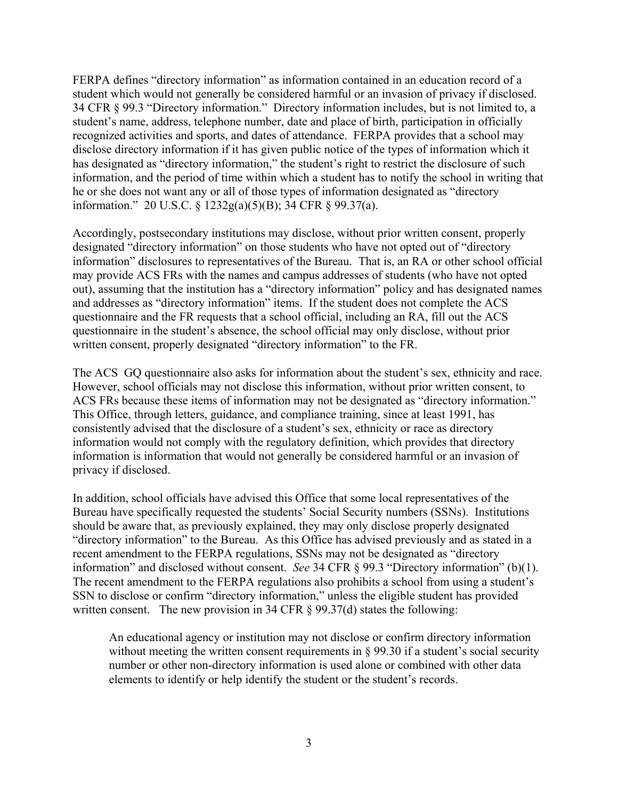FERPA defines "directory information" as information contained in an education record of a student which would not generally be considered harmful or an invasion of privacy if disclosed. 34 CFR § 99.3 "Directory information." Directory information includes, but is not limited to, a student's name, address, telephone number, date and place of birth, participation in officially recognized activities and sports, and dates of attendance. FERPA provides that a school may disclose directory information if it has given public notice of the types of information which it has designated as "directory information," the student's right to restrict the disclosure of such information, and the period of time within which a student has to notify the school in writing that he or she does not want any or all of those types of information designated as "directory information." 20 U.S.C. § 1232g(a)(5)(B); 34 CFR § 99.37(a).

Accordingly, postsecondary institutions may disclose, without prior written consent, properly designated "directory information" on those students who have not opted out of "directory information" disclosures to representatives of the Bureau. That is, an RA or other school official may provide ACS FRs with the names and campus addresses of students (who have not opted out), assuming that the institution has a "directory information" policy and has designated names and addresses as "directory information" items. If the student does not complete the ACS questionnaire and the FR requests that a school official, including an RA, fill out the ACS questionnaire in the student's absence, the school official may only disclose, without prior written consent, properly designated "directory information" to the FR.

The ACS GQ questionnaire also asks for information about the student's sex, ethnicity and race. However, school officials may not disclose this information, without prior written consent, to ACS FRs because these items of information may not be designated as "directory information." This Office, through letters, guidance, and compliance training, since at least 1991, has consistently advised that the disclosure of a student's sex, ethnicity or race as directory information would not comply with the regulatory definition, which provides that directory information is information that would not generally be considered harmful or an invasion of privacy if disclosed.

In addition, school officials have advised this Office that some local representatives of the Bureau have specifically requested the students' Social Security numbers (SSNs). Institutions should be aware that, as previously explained, they may only disclose properly designated "directory information" to the Bureau. As this Office has advised previously and as stated in a recent amendment to the FERPA regulations, SSNs may not be designated as "directory information" and disclosed without consent. *See* 34 CFR § 99.3 "Directory information" (b)(1). The recent amendment to the FERPA regulations also prohibits a school from using a student's SSN to disclose or confirm "directory information," unless the eligible student has provided written consent. The new provision in 34 CFR  $\S 99.37(d)$  states the following:

An educational agency or institution may not disclose or confirm directory information without meeting the written consent requirements in  $\S 99.30$  if a student's social security number or other non-directory information is used alone or combined with other data elements to identify or help identify the student or the student's records.